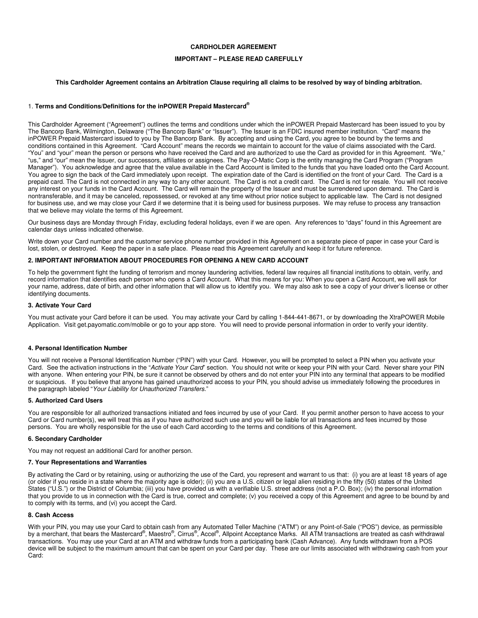## **CARDHOLDER AGREEMENT**

## **IMPORTANT – PLEASE READ CAREFULLY**

### **This Cardholder Agreement contains an Arbitration Clause requiring all claims to be resolved by way of binding arbitration.**

### 1. **Terms and Conditions/Definitions for the inPOWER Prepaid Mastercard®**

This Cardholder Agreement ("Agreement") outlines the terms and conditions under which the inPOWER Prepaid Mastercard has been issued to you by The Bancorp Bank, Wilmington, Delaware ("The Bancorp Bank" or "Issuer"). The Issuer is an FDIC insured member institution. "Card" means the inPOWER Prepaid Mastercard issued to you by The Bancorp Bank. By accepting and using the Card, you agree to be bound by the terms and conditions contained in this Agreement. "Card Account" means the records we maintain to account for the value of claims associated with the Card. "You" and "your" mean the person or persons who have received the Card and are authorized to use the Card as provided for in this Agreement. "We," "us," and "our" mean the Issuer, our successors, affiliates or assignees. The Pay-O-Matic Corp is the entity managing the Card Program ("Program Manager"). You acknowledge and agree that the value available in the Card Account is limited to the funds that you have loaded onto the Card Account. You agree to sign the back of the Card immediately upon receipt. The expiration date of the Card is identified on the front of your Card. The Card is a prepaid card. The Card is not connected in any way to any other account. The Card is not a credit card. The Card is not for resale. You will not receive any interest on your funds in the Card Account. The Card will remain the property of the Issuer and must be surrendered upon demand. The Card is nontransferable, and it may be canceled, repossessed, or revoked at any time without prior notice subject to applicable law. The Card is not designed for business use, and we may close your Card if we determine that it is being used for business purposes. We may refuse to process any transaction that we believe may violate the terms of this Agreement.

Our business days are Monday through Friday, excluding federal holidays, even if we are open. Any references to "days" found in this Agreement are calendar days unless indicated otherwise.

Write down your Card number and the customer service phone number provided in this Agreement on a separate piece of paper in case your Card is lost, stolen, or destroyed. Keep the paper in a safe place. Please read this Agreement carefully and keep it for future reference.

## **2. IMPORTANT INFORMATION ABOUT PROCEDURES FOR OPENING A NEW CARD ACCOUNT**

To help the government fight the funding of terrorism and money laundering activities, federal law requires all financial institutions to obtain, verify, and record information that identifies each person who opens a Card Account. What this means for you: When you open a Card Account, we will ask for your name, address, date of birth, and other information that will allow us to identify you. We may also ask to see a copy of your driver's license or other identifying documents.

#### **3. Activate Your Card**

You must activate your Card before it can be used. You may activate your Card by calling 1-844-441-8671, or by downloading the XtraPOWER Mobile Application. Visit get.payomatic.com/mobile or go to your app store. You will need to provide personal information in order to verify your identity.

## **4. Personal Identification Number**

You will not receive a Personal Identification Number ("PIN") with your Card. However, you will be prompted to select a PIN when you activate your Card. See the activation instructions in the "Activate Your Card" section. You should not write or keep your PIN with your Card. Never share your PIN with anyone. When entering your PIN, be sure it cannot be observed by others and do not enter your PIN into any terminal that appears to be modified or suspicious. If you believe that anyone has gained unauthorized access to your PIN, you should advise us immediately following the procedures in the paragraph labeled "Your Liability for Unauthorized Transfers."

## **5. Authorized Card Users**

You are responsible for all authorized transactions initiated and fees incurred by use of your Card. If you permit another person to have access to your Card or Card number(s), we will treat this as if you have authorized such use and you will be liable for all transactions and fees incurred by those persons. You are wholly responsible for the use of each Card according to the terms and conditions of this Agreement.

#### **6. Secondary Cardholder**

You may not request an additional Card for another person.

#### **7. Your Representations and Warranties**

By activating the Card or by retaining, using or authorizing the use of the Card, you represent and warrant to us that: (i) you are at least 18 years of age (or older if you reside in a state where the majority age is older); (ii) you are a U.S. citizen or legal alien residing in the fifty (50) states of the United States ("U.S.") or the District of Columbia; (iii) you have provided us with a verifiable U.S. street address (not a P.O. Box); (iv) the personal information that you provide to us in connection with the Card is true, correct and complete; (v) you received a copy of this Agreement and agree to be bound by and to comply with its terms, and (vi) you accept the Card.

# **8. Cash Access**

With your PIN, you may use your Card to obtain cash from any Automated Teller Machine ("ATM") or any Point-of-Sale ("POS") device, as permissible by a merchant, that bears the Mastercard®, Maestro®, Cirrus®, Accel®, Allpoint Acceptance Marks. All ATM transactions are treated as cash withdrawal transactions. You may use your Card at an ATM and withdraw funds from a participating bank (Cash Advance). Any funds withdrawn from a POS device will be subject to the maximum amount that can be spent on your Card per day. These are our limits associated with withdrawing cash from your Card: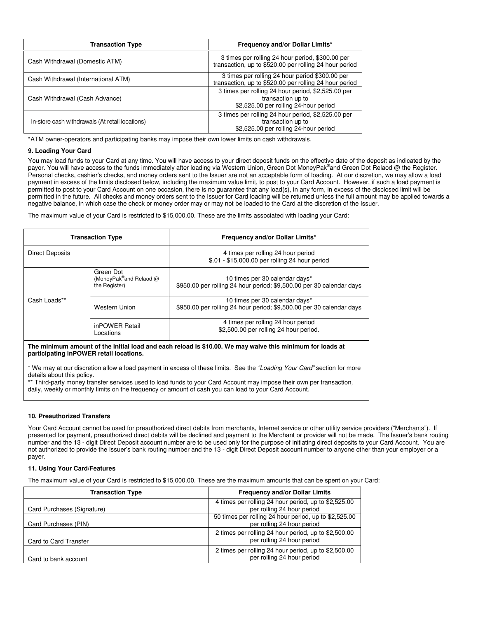| <b>Transaction Type</b>                         | Frequency and/or Dollar Limits*                                                                                  |
|-------------------------------------------------|------------------------------------------------------------------------------------------------------------------|
| Cash Withdrawal (Domestic ATM)                  | 3 times per rolling 24 hour period, \$300.00 per<br>transaction, up to \$520.00 per rolling 24 hour period       |
| Cash Withdrawal (International ATM)             | 3 times per rolling 24 hour period \$300.00 per<br>transaction, up to \$520.00 per rolling 24 hour period        |
| Cash Withdrawal (Cash Advance)                  | 3 times per rolling 24 hour period, \$2,525.00 per<br>transaction up to<br>\$2,525.00 per rolling 24-hour period |
| In-store cash withdrawals (At retail locations) | 3 times per rolling 24 hour period, \$2,525.00 per<br>transaction up to<br>\$2,525.00 per rolling 24-hour period |

\*ATM owner-operators and participating banks may impose their own lower limits on cash withdrawals.

## **9. Loading Your Card**

You may load funds to your Card at any time. You will have access to your direct deposit funds on the effective date of the deposit as indicated by the payor. You will have access to the funds immediately after loading via Western Union, Green Dot MoneyPak®and Green Dot Relaod @ the Register. Personal checks, cashier's checks, and money orders sent to the Issuer are not an acceptable form of loading. At our discretion, we may allow a load payment in excess of the limits disclosed below, including the maximum value limit, to post to your Card Account. However, if such a load payment is permitted to post to your Card Account on one occasion, there is no guarantee that any load(s), in any form, in excess of the disclosed limit will be permitted in the future. All checks and money orders sent to the Issuer for Card loading will be returned unless the full amount may be applied towards a negative balance, in which case the check or money order may or may not be loaded to the Card at the discretion of the Issuer.

The maximum value of your Card is restricted to \$15,000.00. These are the limits associated with loading your Card:

| <b>Transaction Type</b> |                                                                   | Frequency and/or Dollar Limits*                                                                        |  |
|-------------------------|-------------------------------------------------------------------|--------------------------------------------------------------------------------------------------------|--|
| Direct Deposits         |                                                                   | 4 times per rolling 24 hour period<br>\$.01 - \$15,000.00 per rolling 24 hour period                   |  |
|                         | Green Dot<br>(MoneyPak <sup>®</sup> and Relaod @<br>the Register) | 10 times per 30 calendar days*<br>\$950.00 per rolling 24 hour period; \$9,500.00 per 30 calendar days |  |
| Cash Loads**            | Western Union                                                     | 10 times per 30 calendar days*<br>\$950.00 per rolling 24 hour period; \$9,500.00 per 30 calendar days |  |
|                         | inPOWER Retail<br>Locations                                       | 4 times per rolling 24 hour period<br>\$2,500.00 per rolling 24 hour period.                           |  |

**The minimum amount of the initial load and each reload is \$10.00. We may waive this minimum for loads at participating inPOWER retail locations.** 

\* We may at our discretion allow a load payment in excess of these limits. See the "Loading Your Card" section for more details about this policy.

\*\* Third-party money transfer services used to load funds to your Card Account may impose their own per transaction,

daily, weekly or monthly limits on the frequency or amount of cash you can load to your Card Account.

## **10. Preauthorized Transfers**

Your Card Account cannot be used for preauthorized direct debits from merchants, Internet service or other utility service providers ("Merchants"). If presented for payment, preauthorized direct debits will be declined and payment to the Merchant or provider will not be made. The Issuer's bank routing number and the 13 - digit Direct Deposit account number are to be used only for the purpose of initiating direct deposits to your Card Account. You are not authorized to provide the Issuer's bank routing number and the 13 - digit Direct Deposit account number to anyone other than your employer or a payer.

# **11. Using Your Card/Features**

The maximum value of your Card is restricted to \$15,000.00. These are the maximum amounts that can be spent on your Card:

| <b>Transaction Type</b>    | <b>Frequency and/or Dollar Limits</b>                                               |
|----------------------------|-------------------------------------------------------------------------------------|
| Card Purchases (Signature) | 4 times per rolling 24 hour period, up to \$2,525.00<br>per rolling 24 hour period  |
| Card Purchases (PIN)       | 50 times per rolling 24 hour period, up to \$2,525.00<br>per rolling 24 hour period |
| Card to Card Transfer      | 2 times per rolling 24 hour period, up to \$2,500.00<br>per rolling 24 hour period  |
| Card to bank account       | 2 times per rolling 24 hour period, up to \$2,500.00<br>per rolling 24 hour period  |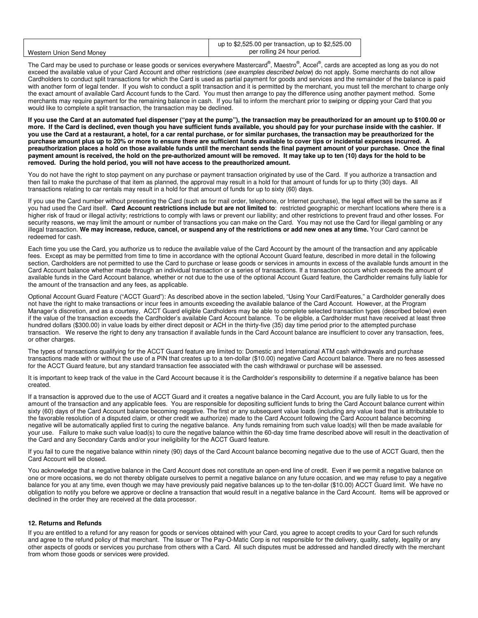|                          | up to $$2,525.00$ per transaction, up to $$2,525.00$ |
|--------------------------|------------------------------------------------------|
| Western Union Send Money | per rolling 24 hour period.                          |

The Card may be used to purchase or lease goods or services everywhere Mastercard®, Maestro®, Accel®, cards are accepted as long as you do not exceed the available value of your Card Account and other restrictions (see examples described below) do not apply. Some merchants do not allow Cardholders to conduct split transactions for which the Card is used as partial payment for goods and services and the remainder of the balance is paid with another form of legal tender. If you wish to conduct a split transaction and it is permitted by the merchant, you must tell the merchant to charge only the exact amount of available Card Account funds to the Card. You must then arrange to pay the difference using another payment method. Some merchants may require payment for the remaining balance in cash. If you fail to inform the merchant prior to swiping or dipping your Card that you would like to complete a split transaction, the transaction may be declined.

**If you use the Card at an automated fuel dispenser ("pay at the pump"), the transaction may be preauthorized for an amount up to \$100.00 or more. If the Card is declined, even though you have sufficient funds available, you should pay for your purchase inside with the cashier. If you use the Card at a restaurant, a hotel, for a car rental purchase, or for similar purchases, the transaction may be preauthorized for the purchase amount plus up to 20% or more to ensure there are sufficient funds available to cover tips or incidental expenses incurred. A preauthorization places a hold on those available funds until the merchant sends the final payment amount of your purchase. Once the final payment amount is received, the hold on the pre-authorized amount will be removed. It may take up to ten (10) days for the hold to be removed. During the hold period, you will not have access to the preauthorized amount.** 

You do not have the right to stop payment on any purchase or payment transaction originated by use of the Card. If you authorize a transaction and then fail to make the purchase of that item as planned, the approval may result in a hold for that amount of funds for up to thirty (30) days. All transactions relating to car rentals may result in a hold for that amount of funds for up to sixty (60) days.

If you use the Card number without presenting the Card (such as for mail order, telephone, or Internet purchase), the legal effect will be the same as if you had used the Card itself. **Card Account restrictions include but are not limited to**: restricted geographic or merchant locations where there is a higher risk of fraud or illegal activity; restrictions to comply with laws or prevent our liability; and other restrictions to prevent fraud and other losses. For security reasons, we may limit the amount or number of transactions you can make on the Card. You may not use the Card for illegal gambling or any illegal transaction. **We may increase, reduce, cancel, or suspend any of the restrictions or add new ones at any time.** Your Card cannot be redeemed for cash.

Each time you use the Card, you authorize us to reduce the available value of the Card Account by the amount of the transaction and any applicable fees. Except as may be permitted from time to time in accordance with the optional Account Guard feature, described in more detail in the following section, Cardholders are not permitted to use the Card to purchase or lease goods or services in amounts in excess of the available funds amount in the Card Account balance whether made through an individual transaction or a series of transactions. If a transaction occurs which exceeds the amount of available funds in the Card Account balance, whether or not due to the use of the optional Account Guard feature, the Cardholder remains fully liable for the amount of the transaction and any fees, as applicable.

Optional Account Guard Feature ("ACCT Guard"): As described above in the section labeled, "Using Your Card/Features," a Cardholder generally does not have the right to make transactions or incur fees in amounts exceeding the available balance of the Card Account. However, at the Program Manager's discretion, and as a courtesy, ACCT Guard eligible Cardholders may be able to complete selected transaction types (described below) even if the value of the transaction exceeds the Cardholder's available Card Account balance. To be eligible, a Cardholder must have received at least three hundred dollars (\$300.00) in value loads by either direct deposit or ACH in the thirty-five (35) day time period prior to the attempted purchase transaction. We reserve the right to deny any transaction if available funds in the Card Account balance are insufficient to cover any transaction, fees, or other charges.

The types of transactions qualifying for the ACCT Guard feature are limited to: Domestic and International ATM cash withdrawals and purchase transactions made with or without the use of a PIN that creates up to a ten-dollar (\$10.00) negative Card Account balance. There are no fees assessed for the ACCT Guard feature, but any standard transaction fee associated with the cash withdrawal or purchase will be assessed.

It is important to keep track of the value in the Card Account because it is the Cardholder's responsibility to determine if a negative balance has been created.

If a transaction is approved due to the use of ACCT Guard and it creates a negative balance in the Card Account, you are fully liable to us for the amount of the transaction and any applicable fees. You are responsible for depositing sufficient funds to bring the Card Account balance current within sixty (60) days of the Card Account balance becoming negative. The first or any subsequent value loads (including any value load that is attributable to the favorable resolution of a disputed claim, or other credit we authorize) made to the Card Account following the Card Account balance becoming negative will be automatically applied first to curing the negative balance. Any funds remaining from such value load(s) will then be made available for your use. Failure to make such value load(s) to cure the negative balance within the 60-day time frame described above will result in the deactivation of the Card and any Secondary Cards and/or your ineligibility for the ACCT Guard feature.

If you fail to cure the negative balance within ninety (90) days of the Card Account balance becoming negative due to the use of ACCT Guard, then the Card Account will be closed.

You acknowledge that a negative balance in the Card Account does not constitute an open-end line of credit. Even if we permit a negative balance on one or more occasions, we do not thereby obligate ourselves to permit a negative balance on any future occasion, and we may refuse to pay a negative balance for you at any time, even though we may have previously paid negative balances up to the ten-dollar (\$10.00) ACCT Guard limit. We have no obligation to notify you before we approve or decline a transaction that would result in a negative balance in the Card Account. Items will be approved or declined in the order they are received at the data processor.

## **12. Returns and Refunds**

If you are entitled to a refund for any reason for goods or services obtained with your Card, you agree to accept credits to your Card for such refunds and agree to the refund policy of that merchant. The Issuer or The Pay-O-Matic Corp is not responsible for the delivery, quality, safety, legality or any other aspects of goods or services you purchase from others with a Card. All such disputes must be addressed and handled directly with the merchant from whom those goods or services were provided.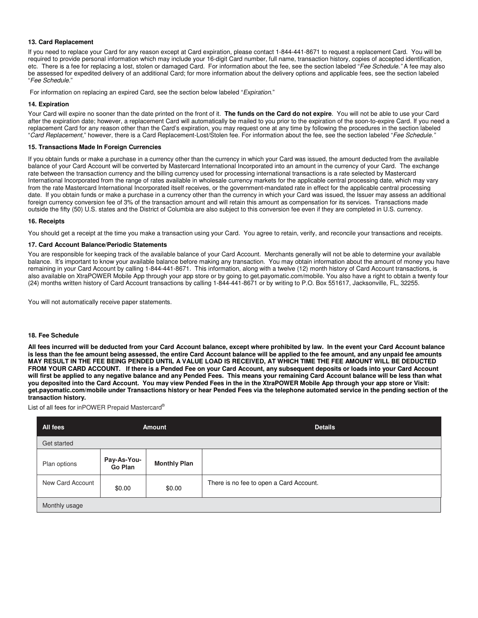## **13. Card Replacement**

If you need to replace your Card for any reason except at Card expiration, please contact 1-844-441-8671 to request a replacement Card. You will be required to provide personal information which may include your 16-digit Card number, full name, transaction history, copies of accepted identification, etc. There is a fee for replacing a lost, stolen or damaged Card. For information about the fee, see the section labeled "Fee Schedule." A fee may also be assessed for expedited delivery of an additional Card; for more information about the delivery options and applicable fees, see the section labeled "Fee Schedule."

For information on replacing an expired Card, see the section below labeled "Expiration."

# **14. Expiration**

Your Card will expire no sooner than the date printed on the front of it. **The funds on the Card do not expire**. You will not be able to use your Card after the expiration date; however, a replacement Card will automatically be mailed to you prior to the expiration of the soon-to-expire Card. If you need a replacement Card for any reason other than the Card's expiration, you may request one at any time by following the procedures in the section labeled "Card Replacement," however, there is a Card Replacement-Lost/Stolen fee. For information about the fee, see the section labeled "Fee Schedule."

## **15. Transactions Made In Foreign Currencies**

If you obtain funds or make a purchase in a currency other than the currency in which your Card was issued, the amount deducted from the available balance of your Card Account will be converted by Mastercard International Incorporated into an amount in the currency of your Card. The exchange rate between the transaction currency and the billing currency used for processing international transactions is a rate selected by Mastercard International Incorporated from the range of rates available in wholesale currency markets for the applicable central processing date, which may vary from the rate Mastercard International Incorporated itself receives, or the government-mandated rate in effect for the applicable central processing date. If you obtain funds or make a purchase in a currency other than the currency in which your Card was issued, the Issuer may assess an additional foreign currency conversion fee of 3% of the transaction amount and will retain this amount as compensation for its services. Transactions made outside the fifty (50) U.S. states and the District of Columbia are also subject to this conversion fee even if they are completed in U.S. currency.

## **16. Receipts**

You should get a receipt at the time you make a transaction using your Card. You agree to retain, verify, and reconcile your transactions and receipts.

## **17. Card Account Balance/Periodic Statements**

You are responsible for keeping track of the available balance of your Card Account. Merchants generally will not be able to determine your available balance. It's important to know your available balance before making any transaction. You may obtain information about the amount of money you have remaining in your Card Account by calling 1-844-441-8671. This information, along with a twelve (12) month history of Card Account transactions, is also available on XtraPOWER Mobile App through your app store or by going to get.payomatic.com/mobile. You also have a right to obtain a twenty four (24) months written history of Card Account transactions by calling 1-844-441-8671 or by writing to P.O. Box 551617, Jacksonville, FL, 32255.

You will not automatically receive paper statements.

### **18. Fee Schedule**

**All fees incurred will be deducted from your Card Account balance, except where prohibited by law. In the event your Card Account balance is less than the fee amount being assessed, the entire Card Account balance will be applied to the fee amount, and any unpaid fee amounts MAY RESULT IN THE FEE BEING PENDED UNTIL A VALUE LOAD IS RECEIVED, AT WHICH TIME THE FEE AMOUNT WILL BE DEDUCTED FROM YOUR CARD ACCOUNT. If there is a Pended Fee on your Card Account, any subsequent deposits or loads into your Card Account will first be applied to any negative balance and any Pended Fees. This means your remaining Card Account balance will be less than what you deposited into the Card Account. You may view Pended Fees in the in the XtraPOWER Mobile App through your app store or Visit: get.payomatic.com/mobile under Transactions history or hear Pended Fees via the telephone automated service in the pending section of the transaction history.** 

List of all fees for inPOWER Prepaid Mastercard®

| All fees         | <b>Amount</b>          |                     | <b>Details</b>                          |
|------------------|------------------------|---------------------|-----------------------------------------|
| Get started      |                        |                     |                                         |
| Plan options     | Pay-As-You-<br>Go Plan | <b>Monthly Plan</b> |                                         |
| New Card Account | \$0.00                 | \$0.00              | There is no fee to open a Card Account. |
| Monthly usage    |                        |                     |                                         |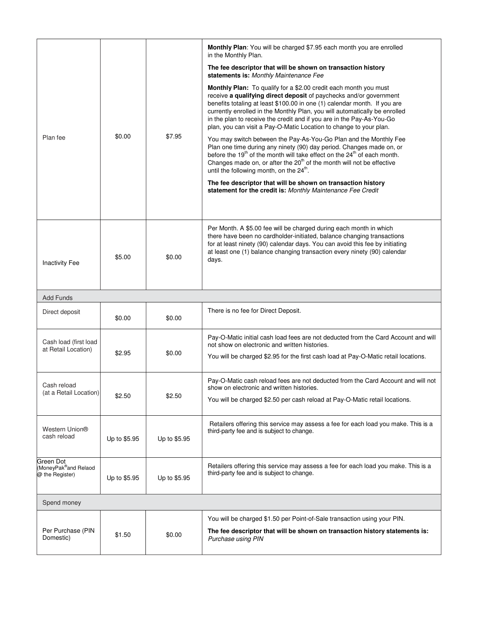|                                                                   |              |              | Monthly Plan: You will be charged \$7.95 each month you are enrolled<br>in the Monthly Plan.                                                                                                                                                                                                                                                                                                                                                     |
|-------------------------------------------------------------------|--------------|--------------|--------------------------------------------------------------------------------------------------------------------------------------------------------------------------------------------------------------------------------------------------------------------------------------------------------------------------------------------------------------------------------------------------------------------------------------------------|
| Plan fee                                                          | \$0.00       | \$7.95       | The fee descriptor that will be shown on transaction history<br>statements is: Monthly Maintenance Fee                                                                                                                                                                                                                                                                                                                                           |
|                                                                   |              |              | Monthly Plan: To qualify for a \$2.00 credit each month you must<br>receive a qualifying direct deposit of paychecks and/or government<br>benefits totaling at least \$100.00 in one (1) calendar month. If you are<br>currently enrolled in the Monthly Plan, you will automatically be enrolled<br>in the plan to receive the credit and if you are in the Pay-As-You-Go<br>plan, you can visit a Pay-O-Matic Location to change to your plan. |
|                                                                   |              |              | You may switch between the Pay-As-You-Go Plan and the Monthly Fee<br>Plan one time during any ninety (90) day period. Changes made on, or<br>before the 19 <sup>th</sup> of the month will take effect on the 24 <sup>th</sup> of each month.<br>Changes made on, or after the 20 <sup>th</sup> of the month will not be effective<br>until the following month, on the 24 <sup>th</sup> .                                                       |
|                                                                   |              |              | The fee descriptor that will be shown on transaction history<br>statement for the credit is: Monthly Maintenance Fee Credit                                                                                                                                                                                                                                                                                                                      |
| <b>Inactivity Fee</b>                                             | \$5.00       | \$0.00       | Per Month. A \$5.00 fee will be charged during each month in which<br>there have been no cardholder-initiated, balance changing transactions<br>for at least ninety (90) calendar days. You can avoid this fee by initiating<br>at least one (1) balance changing transaction every ninety (90) calendar<br>days.                                                                                                                                |
| <b>Add Funds</b>                                                  |              |              |                                                                                                                                                                                                                                                                                                                                                                                                                                                  |
| Direct deposit                                                    | \$0.00       | \$0.00       | There is no fee for Direct Deposit.                                                                                                                                                                                                                                                                                                                                                                                                              |
| Cash load (first load<br>at Retail Location)                      | \$2.95       | \$0.00       | Pay-O-Matic initial cash load fees are not deducted from the Card Account and will<br>not show on electronic and written histories.<br>You will be charged \$2.95 for the first cash load at Pay-O-Matic retail locations.                                                                                                                                                                                                                       |
| Cash reload<br>(at a Retail Location)                             | \$2.50       | \$2.50       | Pay-O-Matic cash reload fees are not deducted from the Card Account and will not<br>show on electronic and written histories.<br>You will be charged \$2.50 per cash reload at Pay-O-Matic retail locations.                                                                                                                                                                                                                                     |
| <b>Western Union®</b><br>cash reload                              | Up to \$5.95 | Up to \$5.95 | Retailers offering this service may assess a fee for each load you make. This is a<br>third-party fee and is subject to change.                                                                                                                                                                                                                                                                                                                  |
| Green Dot<br>(MoneyPak <sup>®</sup> and Relaod<br>@ the Register) | Up to \$5.95 | Up to \$5.95 | Retailers offering this service may assess a fee for each load you make. This is a<br>third-party fee and is subject to change.                                                                                                                                                                                                                                                                                                                  |
| Spend money                                                       |              |              |                                                                                                                                                                                                                                                                                                                                                                                                                                                  |
| Per Purchase (PIN<br>Domestic)                                    | \$1.50       | \$0.00       | You will be charged \$1.50 per Point-of-Sale transaction using your PIN.<br>The fee descriptor that will be shown on transaction history statements is:<br>Purchase using PIN                                                                                                                                                                                                                                                                    |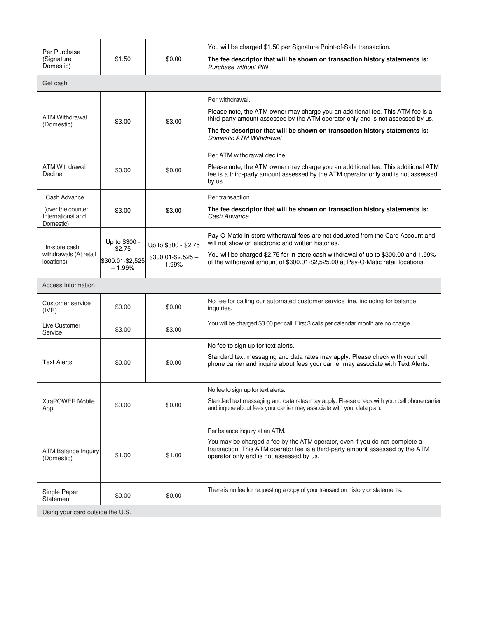| Per Purchase                                        |                              |                               | You will be charged \$1.50 per Signature Point-of-Sale transaction.                                                                                                                                       |
|-----------------------------------------------------|------------------------------|-------------------------------|-----------------------------------------------------------------------------------------------------------------------------------------------------------------------------------------------------------|
| (Signature<br>Domestic)                             | \$1.50                       | \$0.00                        | The fee descriptor that will be shown on transaction history statements is:<br>Purchase without PIN                                                                                                       |
| Get cash                                            |                              |                               |                                                                                                                                                                                                           |
|                                                     |                              |                               | Per withdrawal.                                                                                                                                                                                           |
| <b>ATM Withdrawal</b>                               | \$3.00                       | \$3.00                        | Please note, the ATM owner may charge you an additional fee. This ATM fee is a<br>third-party amount assessed by the ATM operator only and is not assessed by us.                                         |
| (Domestic)                                          |                              |                               | The fee descriptor that will be shown on transaction history statements is:<br>Domestic ATM Withdrawal                                                                                                    |
|                                                     |                              |                               | Per ATM withdrawal decline.                                                                                                                                                                               |
| <b>ATM Withdrawal</b><br>Decline                    | \$0.00                       | \$0.00                        | Please note, the ATM owner may charge you an additional fee. This additional ATM<br>fee is a third-party amount assessed by the ATM operator only and is not assessed<br>by us.                           |
| Cash Advance                                        |                              |                               | Per transaction.                                                                                                                                                                                          |
| (over the counter<br>International and<br>Domestic) | \$3.00                       | \$3.00                        | The fee descriptor that will be shown on transaction history statements is:<br>Cash Advance                                                                                                               |
| In-store cash                                       | Up to \$300 -<br>\$2.75      | Up to \$300 - \$2.75          | Pay-O-Matic In-store withdrawal fees are not deducted from the Card Account and<br>will not show on electronic and written histories.                                                                     |
| withdrawals (At retail<br>locations)                | \$300.01-\$2,525<br>$-1.99%$ | $$300.01 - $2,525 -$<br>1.99% | You will be charged \$2.75 for in-store cash withdrawal of up to \$300.00 and 1.99%<br>of the withdrawal amount of \$300.01-\$2,525.00 at Pay-O-Matic retail locations.                                   |
| Access Information                                  |                              |                               |                                                                                                                                                                                                           |
| Customer service<br>(IVR)                           | \$0.00                       | \$0.00                        | No fee for calling our automated customer service line, including for balance<br>inquiries.                                                                                                               |
| Live Customer<br>Service                            | \$3.00                       | \$3.00                        | You will be charged \$3.00 per call. First 3 calls per calendar month are no charge.                                                                                                                      |
|                                                     |                              |                               | No fee to sign up for text alerts.                                                                                                                                                                        |
| <b>Text Alerts</b>                                  | \$0.00                       | \$0.00                        | Standard text messaging and data rates may apply. Please check with your cell<br>phone carrier and inquire about fees your carrier may associate with Text Alerts.                                        |
|                                                     |                              |                               | No fee to sign up for text alerts.                                                                                                                                                                        |
| <b>XtraPOWER Mobile</b><br>App                      | \$0.00                       | \$0.00                        | Standard text messaging and data rates may apply. Please check with your cell phone carrier<br>and inquire about fees your carrier may associate with your data plan.                                     |
|                                                     |                              |                               | Per balance inquiry at an ATM.                                                                                                                                                                            |
| <b>ATM Balance Inquiry</b><br>(Domestic)            | \$1.00                       | \$1.00                        | You may be charged a fee by the ATM operator, even if you do not complete a<br>transaction. This ATM operator fee is a third-party amount assessed by the ATM<br>operator only and is not assessed by us. |
| Single Paper<br>Statement                           | \$0.00                       | \$0.00                        | There is no fee for requesting a copy of your transaction history or statements.                                                                                                                          |
| Using your card outside the U.S.                    |                              |                               |                                                                                                                                                                                                           |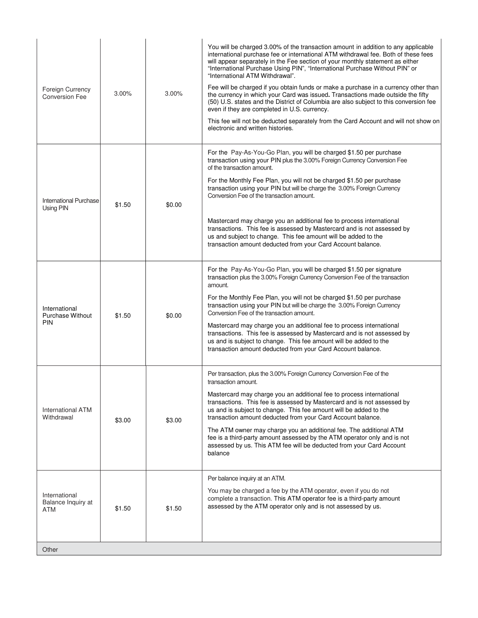| <b>Foreign Currency</b><br><b>Conversion Fee</b>       | 3.00%  | 3.00%  | You will be charged 3.00% of the transaction amount in addition to any applicable<br>international purchase fee or international ATM withdrawal fee. Both of these fees<br>will appear separately in the Fee section of your monthly statement as either<br>"International Purchase Using PIN", "International Purchase Without PIN" or<br>"International ATM Withdrawal".<br>Fee will be charged if you obtain funds or make a purchase in a currency other than<br>the currency in which your Card was issued. Transactions made outside the fifty<br>(50) U.S. states and the District of Columbia are also subject to this conversion fee<br>even if they are completed in U.S. currency. |
|--------------------------------------------------------|--------|--------|-----------------------------------------------------------------------------------------------------------------------------------------------------------------------------------------------------------------------------------------------------------------------------------------------------------------------------------------------------------------------------------------------------------------------------------------------------------------------------------------------------------------------------------------------------------------------------------------------------------------------------------------------------------------------------------------------|
|                                                        |        |        | This fee will not be deducted separately from the Card Account and will not show on<br>electronic and written histories.                                                                                                                                                                                                                                                                                                                                                                                                                                                                                                                                                                      |
| International Purchase                                 | \$1.50 |        | For the Pay-As-You-Go Plan, you will be charged \$1.50 per purchase<br>transaction using your PIN plus the 3.00% Foreign Currency Conversion Fee<br>of the transaction amount.<br>For the Monthly Fee Plan, you will not be charged \$1.50 per purchase<br>transaction using your PIN but will be charge the 3.00% Foreign Currency<br>Conversion Fee of the transaction amount.                                                                                                                                                                                                                                                                                                              |
| Using PIN                                              |        | \$0.00 | Mastercard may charge you an additional fee to process international<br>transactions. This fee is assessed by Mastercard and is not assessed by<br>us and subject to change. This fee amount will be added to the<br>transaction amount deducted from your Card Account balance.                                                                                                                                                                                                                                                                                                                                                                                                              |
| International<br><b>Purchase Without</b><br><b>PIN</b> | \$1.50 | \$0.00 | For the Pay-As-You-Go Plan, you will be charged \$1.50 per signature<br>transaction plus the 3.00% Foreign Currency Conversion Fee of the transaction<br>amount.<br>For the Monthly Fee Plan, you will not be charged \$1.50 per purchase<br>transaction using your PIN but will be charge the 3.00% Foreign Currency<br>Conversion Fee of the transaction amount.<br>Mastercard may charge you an additional fee to process international<br>transactions. This fee is assessed by Mastercard and is not assessed by<br>us and is subject to change. This fee amount will be added to the<br>transaction amount deducted from your Card Account balance.                                     |
| <b>International ATM</b><br>Withdrawal                 | \$3.00 | \$3.00 | Per transaction, plus the 3.00% Foreign Currency Conversion Fee of the<br>transaction amount.<br>Mastercard may charge you an additional fee to process international<br>transactions. This fee is assessed by Mastercard and is not assessed by<br>us and is subject to change. This fee amount will be added to the<br>transaction amount deducted from your Card Account balance.<br>The ATM owner may charge you an additional fee. The additional ATM<br>fee is a third-party amount assessed by the ATM operator only and is not<br>assessed by us. This ATM fee will be deducted from your Card Account<br>balance                                                                     |
| International<br>Balance Inquiry at<br>ATM             | \$1.50 | \$1.50 | Per balance inquiry at an ATM.<br>You may be charged a fee by the ATM operator, even if you do not<br>complete a transaction. This ATM operator fee is a third-party amount<br>assessed by the ATM operator only and is not assessed by us.                                                                                                                                                                                                                                                                                                                                                                                                                                                   |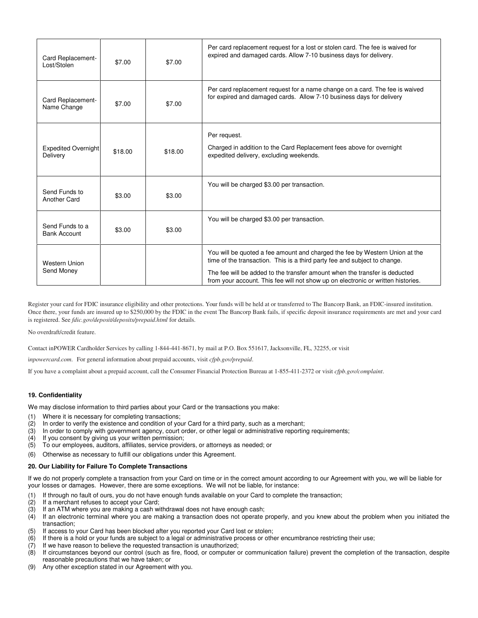| Card Replacement-<br>Lost/Stolen       | \$7.00  | \$7.00  | Per card replacement request for a lost or stolen card. The fee is waived for<br>expired and damaged cards. Allow 7-10 business days for delivery.                                                                                                                                                                         |
|----------------------------------------|---------|---------|----------------------------------------------------------------------------------------------------------------------------------------------------------------------------------------------------------------------------------------------------------------------------------------------------------------------------|
| Card Replacement-<br>Name Change       | \$7.00  | \$7.00  | Per card replacement request for a name change on a card. The fee is waived<br>for expired and damaged cards. Allow 7-10 business days for delivery                                                                                                                                                                        |
| <b>Expedited Overnight</b><br>Delivery | \$18.00 | \$18.00 | Per request.<br>Charged in addition to the Card Replacement fees above for overnight<br>expedited delivery, excluding weekends.                                                                                                                                                                                            |
| Send Funds to<br>Another Card          | \$3.00  | \$3.00  | You will be charged \$3.00 per transaction.                                                                                                                                                                                                                                                                                |
| Send Funds to a<br><b>Bank Account</b> | \$3.00  | \$3.00  | You will be charged \$3.00 per transaction.                                                                                                                                                                                                                                                                                |
| Western Union<br>Send Money            |         |         | You will be quoted a fee amount and charged the fee by Western Union at the<br>time of the transaction. This is a third party fee and subject to change.<br>The fee will be added to the transfer amount when the transfer is deducted<br>from your account. This fee will not show up on electronic or written histories. |

Register your card for FDIC insurance eligibility and other protections. Your funds will be held at or transferred to The Bancorp Bank, an FDIC-insured institution. Once there, your funds are insured up to \$250,000 by the FDIC in the event The Bancorp Bank fails, if specific deposit insurance requirements are met and your card is registered. See *fdic.gov/deposit/deposits/prepaid.html* for details.

No overdraft/credit feature.

Contact inPOWER Cardholder Services by calling 1-844-441-8671, by mail at P.O. Box 551617, Jacksonville, FL, 32255, or visit

i*npowercard.com*. For general information about prepaid accounts, visit *cfpb.gov/prepaid*.

If you have a complaint about a prepaid account, call the Consumer Financial Protection Bureau at 1-855-411-2372 or visit *cfpb.gov/complaint*.

## **19. Confidentiality**

We may disclose information to third parties about your Card or the transactions you make:

- (1) Where it is necessary for completing transactions;
- (2) In order to verify the existence and condition of your Card for a third party, such as a merchant;<br>(3) In order to comply with government agency, court order, or other legal or administrative reporting
- In order to comply with government agency, court order, or other legal or administrative reporting requirements;
- (4) If you consent by giving us your written permission;<br>(5) To our employees, auditors, affiliates, service provice
- (5) To our employees, auditors, affiliates, service providers, or attorneys as needed; or
- (6) Otherwise as necessary to fulfill our obligations under this Agreement.

#### **20. Our Liability for Failure To Complete Transactions**

If we do not properly complete a transaction from your Card on time or in the correct amount according to our Agreement with you, we will be liable for your losses or damages. However, there are some exceptions. We will not be liable, for instance:

- (1) If through no fault of ours, you do not have enough funds available on your Card to complete the transaction;
- (2) If a merchant refuses to accept your Card;<br>(3) If an ATM where you are making a cash wi
- If an ATM where you are making a cash withdrawal does not have enough cash;
- (4) If an electronic terminal where you are making a transaction does not operate properly, and you knew about the problem when you initiated the transaction;
- (5) If access to your Card has been blocked after you reported your Card lost or stolen;
- $(6)$  If there is a hold or your funds are subject to a legal or administrative process or other encumbrance restricting their use;
- 
- (7) If we have reason to believe the requested transaction is unauthorized;<br>(8) If circumstances beyond our control (such as fire, flood, or computer o If circumstances beyond our control (such as fire, flood, or computer or communication failure) prevent the completion of the transaction, despite reasonable precautions that we have taken; or
- (9) Any other exception stated in our Agreement with you.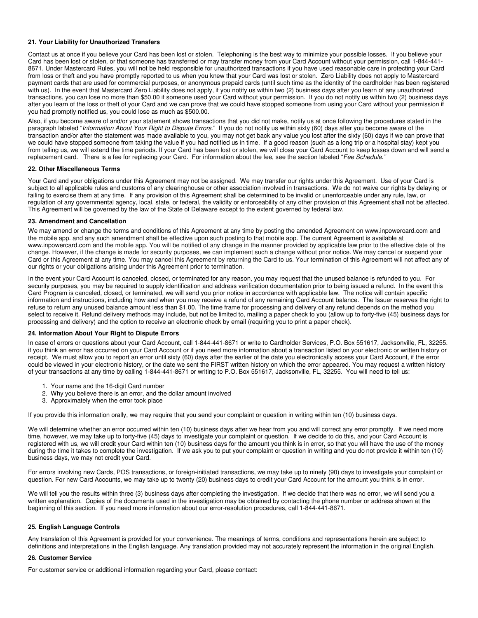## **21. Your Liability for Unauthorized Transfers**

Contact us at once if you believe your Card has been lost or stolen. Telephoning is the best way to minimize your possible losses. If you believe your Card has been lost or stolen, or that someone has transferred or may transfer money from your Card Account without your permission, call 1-844-441- 8671. Under Mastercard Rules, you will not be held responsible for unauthorized transactions if you have used reasonable care in protecting your Card from loss or theft and you have promptly reported to us when you knew that your Card was lost or stolen. Zero Liability does not apply to Mastercard payment cards that are used for commercial purposes, or anonymous prepaid cards (until such time as the identity of the cardholder has been registered with us). In the event that Mastercard Zero Liability does not apply, if you notify us within two (2) business days after you learn of any unauthorized transactions, you can lose no more than \$50.00 if someone used your Card without your permission. If you do not notify us within two (2) business days after you learn of the loss or theft of your Card and we can prove that we could have stopped someone from using your Card without your permission if you had promptly notified us, you could lose as much as \$500.00.

Also, if you become aware of and/or your statement shows transactions that you did not make, notify us at once following the procedures stated in the paragraph labeled "Information About Your Right to Dispute Errors." If you do not notify us within sixty (60) days after you become aware of the transaction and/or after the statement was made available to you, you may not get back any value you lost after the sixty (60) days if we can prove that we could have stopped someone from taking the value if you had notified us in time. If a good reason (such as a long trip or a hospital stay) kept you from telling us, we will extend the time periods. If your Card has been lost or stolen, we will close your Card Account to keep losses down and will send a replacement card. There is a fee for replacing your Card. For information about the fee, see the section labeled "Fee Schedule."

#### **22. Other Miscellaneous Terms**

Your Card and your obligations under this Agreement may not be assigned. We may transfer our rights under this Agreement. Use of your Card is subject to all applicable rules and customs of any clearinghouse or other association involved in transactions. We do not waive our rights by delaying or failing to exercise them at any time. If any provision of this Agreement shall be determined to be invalid or unenforceable under any rule, law, or regulation of any governmental agency, local, state, or federal, the validity or enforceability of any other provision of this Agreement shall not be affected. This Agreement will be governed by the law of the State of Delaware except to the extent governed by federal law.

#### **23. Amendment and Cancellation**

We may amend or change the terms and conditions of this Agreement at any time by posting the amended Agreement on www.inpowercard.com and the mobile app. and any such amendment shall be effective upon such posting to that mobile app. The current Agreement is available at www.inpowercard.com and the mobile app. You will be notified of any change in the manner provided by applicable law prior to the effective date of the change. However, if the change is made for security purposes, we can implement such a change without prior notice. We may cancel or suspend your Card or this Agreement at any time. You may cancel this Agreement by returning the Card to us. Your termination of this Agreement will not affect any of our rights or your obligations arising under this Agreement prior to termination.

In the event your Card Account is canceled, closed, or terminated for any reason, you may request that the unused balance is refunded to you. For security purposes, you may be required to supply identification and address verification documentation prior to being issued a refund. In the event this Card Program is canceled, closed, or terminated, we will send you prior notice in accordance with applicable law. The notice will contain specific information and instructions, including how and when you may receive a refund of any remaining Card Account balance. The Issuer reserves the right to refuse to return any unused balance amount less than \$1.00. The time frame for processing and delivery of any refund depends on the method you select to receive it. Refund delivery methods may include, but not be limited to, mailing a paper check to you (allow up to forty-five (45) business days for processing and delivery) and the option to receive an electronic check by email (requiring you to print a paper check).

## **24. Information About Your Right to Dispute Errors**

In case of errors or questions about your Card Account, call 1-844-441-8671 or write to Cardholder Services, P.O. Box 551617, Jacksonville, FL, 32255. if you think an error has occurred on your Card Account or if you need more information about a transaction listed on your electronic or written history or receipt. We must allow you to report an error until sixty (60) days after the earlier of the date you electronically access your Card Account, if the error could be viewed in your electronic history, or the date we sent the FIRST written history on which the error appeared. You may request a written history of your transactions at any time by calling 1-844-441-8671 or writing to P.O. Box 551617, Jacksonville, FL, 32255. You will need to tell us:

- 1. Your name and the 16-digit Card number
- 2. Why you believe there is an error, and the dollar amount involved
- 3. Approximately when the error took place

If you provide this information orally, we may require that you send your complaint or question in writing within ten (10) business days.

We will determine whether an error occurred within ten (10) business days after we hear from you and will correct any error promptly. If we need more time, however, we may take up to forty-five (45) days to investigate your complaint or question. If we decide to do this, and your Card Account is registered with us, we will credit your Card within ten (10) business days for the amount you think is in error, so that you will have the use of the money during the time it takes to complete the investigation. If we ask you to put your complaint or question in writing and you do not provide it within ten (10) business days, we may not credit your Card.

For errors involving new Cards, POS transactions, or foreign-initiated transactions, we may take up to ninety (90) days to investigate your complaint or question. For new Card Accounts, we may take up to twenty (20) business days to credit your Card Account for the amount you think is in error.

We will tell you the results within three (3) business days after completing the investigation. If we decide that there was no error, we will send you a written explanation. Copies of the documents used in the investigation may be obtained by contacting the phone number or address shown at the beginning of this section. If you need more information about our error-resolution procedures, call 1-844-441-8671.

#### **25. English Language Controls**

Any translation of this Agreement is provided for your convenience. The meanings of terms, conditions and representations herein are subject to definitions and interpretations in the English language. Any translation provided may not accurately represent the information in the original English.

### **26. Customer Service**

For customer service or additional information regarding your Card, please contact: